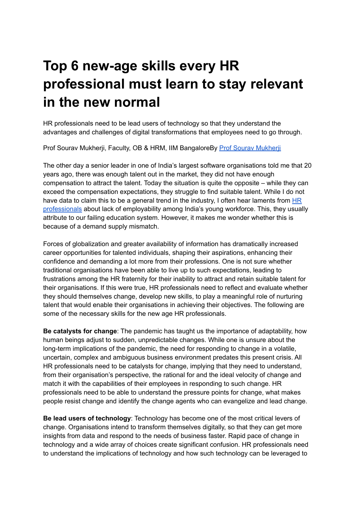## **Top 6 new-age skills every HR professional must learn to stay relevant in the new normal**

HR professionals need to be lead users of technology so that they understand the advantages and challenges of digital transformations that employees need to go through.

Prof Sourav Mukherji, Faculty, OB & HRM, IIM BangaloreBy Prof Sourav [Mukherji](https://hr.economictimes.indiatimes.com/tag/prof+sourav+mukherji)

The other day a senior leader in one of India's largest software organisations told me that 20 years ago, there was enough talent out in the market, they did not have enough compensation to attract the talent. Today the situation is quite the opposite – while they can exceed the compensation expectations, they struggle to find suitable talent. While I do not have data to claim this to be a general trend in the industry, I often hear laments from [HR](https://hr.economictimes.indiatimes.com/tag/hr+professionals) [professionals](https://hr.economictimes.indiatimes.com/tag/hr+professionals) about lack of employability among India's young workforce. This, they usually attribute to our failing education system. However, it makes me wonder whether this is because of a demand supply mismatch.

Forces of globalization and greater availability of information has dramatically increased career opportunities for talented individuals, shaping their aspirations, enhancing their confidence and demanding a lot more from their professions. One is not sure whether traditional organisations have been able to live up to such expectations, leading to frustrations among the HR fraternity for their inability to attract and retain suitable talent for their organisations. If this were true, HR professionals need to reflect and evaluate whether they should themselves change, develop new skills, to play a meaningful role of nurturing talent that would enable their organisations in achieving their objectives. The following are some of the necessary skills for the new age HR professionals.

**Be catalysts for change**: The pandemic has taught us the importance of adaptability, how human beings adjust to sudden, unpredictable changes. While one is unsure about the long-term implications of the pandemic, the need for responding to change in a volatile, uncertain, complex and ambiguous business environment predates this present crisis. All HR professionals need to be catalysts for change, implying that they need to understand, from their organisation's perspective, the rational for and the ideal velocity of change and match it with the capabilities of their employees in responding to such change. HR professionals need to be able to understand the pressure points for change, what makes people resist change and identify the change agents who can evangelize and lead change.

**Be lead users of technology**: Technology has become one of the most critical levers of change. Organisations intend to transform themselves digitally, so that they can get more insights from data and respond to the needs of business faster. Rapid pace of change in technology and a wide array of choices create significant confusion. HR professionals need to understand the implications of technology and how such technology can be leveraged to